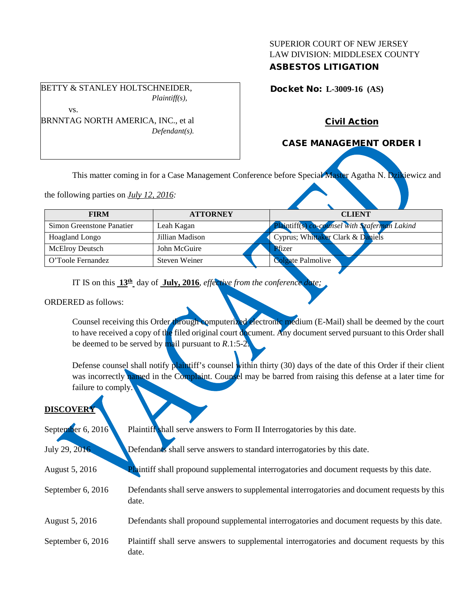### SUPERIOR COURT OF NEW JERSEY LAW DIVISION: MIDDLESEX COUNTY ASBESTOS LITIGATION

Docket No: **L-3009-16 (AS)** 

BETTY & STANLEY HOLTSCHNEIDER, *Plaintiff(s),*

vs.

#### BRNNTAG NORTH AMERICA, INC., et al *Defendant(s).*

# Civil Action

# CASE MANAGEMENT ORDER I

This matter coming in for a Case Management Conference before Special Master Agatha N. Dzikiewicz and

the following parties on *July 12, 2016:*

| <b>FIRM</b>               | <b>ATTORNEY</b> | <b>CLIENT</b>                                 |
|---------------------------|-----------------|-----------------------------------------------|
| Simon Greenstone Panatier | Leah Kagan      | Plaintiff(s) co-counsel with Szaferman Lakind |
| <b>Hoagland Longo</b>     | Jillian Madison | Cyprus; Whittaker Clark & Daniels             |
| <b>McElroy Deutsch</b>    | John McGuire    | Pfizer                                        |
| O'Toole Fernandez         | Steven Weiner   | Colgate Palmolive                             |
|                           |                 |                                               |

IT IS on this **13th** day of **July, 2016**, *effective from the conference date;*

ORDERED as follows:

Counsel receiving this Order through computerized electronic medium (E-Mail) shall be deemed by the court to have received a copy of the filed original court document. Any document served pursuant to this Order shall be deemed to be served by mail pursuant to *R*.1:5-2.

Defense counsel shall notify plaintiff's counsel within thirty (30) days of the date of this Order if their client was incorrectly named in the Complaint. Counsel may be barred from raising this defense at a later time for failure to comply.

### **DISCOVER**

| September 6, 2016 | Plaintiff shall serve answers to Form II Interrogatories by this date.                                |
|-------------------|-------------------------------------------------------------------------------------------------------|
| July 29, 2016     | Defendants shall serve answers to standard interrogatories by this date.                              |
| August 5, 2016    | <b>Plaintiff</b> shall propound supplemental interrogatories and document requests by this date.      |
| September 6, 2016 | Defendants shall serve answers to supplemental interrogatories and document requests by this<br>date. |
| August 5, 2016    | Defendants shall propound supplemental interrogatories and document requests by this date.            |
| September 6, 2016 | Plaintiff shall serve answers to supplemental interrogatories and document requests by this<br>date.  |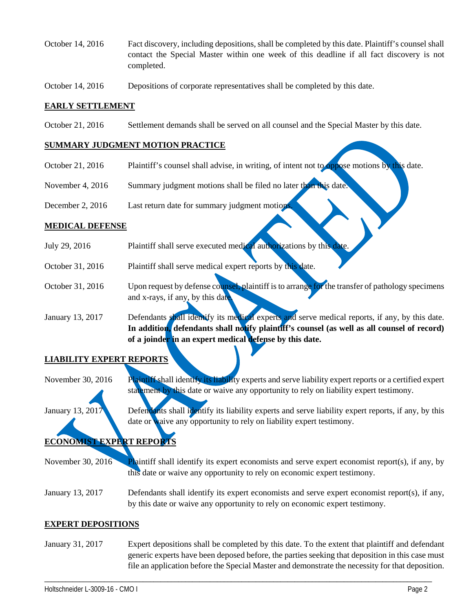- October 14, 2016 Fact discovery, including depositions, shall be completed by this date. Plaintiff's counsel shall contact the Special Master within one week of this deadline if all fact discovery is not completed.
- October 14, 2016 Depositions of corporate representatives shall be completed by this date.

#### **EARLY SETTLEMENT**

October 21, 2016 Settlement demands shall be served on all counsel and the Special Master by this date.

#### **SUMMARY JUDGMENT MOTION PRACTICE**

- October 21, 2016 Plaintiff's counsel shall advise, in writing, of intent not to oppose motions by this date.
- November 4, 2016 Summary judgment motions shall be filed no later than this date.
- December 2, 2016 Last return date for summary judgment motion

#### **MEDICAL DEFENSE**

- July 29, 2016 Plaintiff shall serve executed medical authorizations by this date.
- October 31, 2016 Plaintiff shall serve medical expert reports by this date.
- October 31, 2016 Upon request by defense counsel, plaintiff is to arrange for the transfer of pathology specimens and x-rays, if any, by this date

January 13, 2017 Defendants shall identify its medical experts and serve medical reports, if any, by this date. **In addition, defendants shall notify plaintiff's counsel (as well as all counsel of record) of a joinder in an expert medical defense by this date.**

### **LIABILITY EXPERT REPORTS**

November 30, 2016 Plaintiff shall identify its liability experts and serve liability expert reports or a certified expert statement by this date or waive any opportunity to rely on liability expert testimony.

January 13, 2017 Defendants shall identify its liability experts and serve liability expert reports, if any, by this date or waive any opportunity to rely on liability expert testimony.

# **ECONOMIST EXPERT REPORTS**

November 30, 2016 Plaintiff shall identify its expert economists and serve expert economist report(s), if any, by this date or waive any opportunity to rely on economic expert testimony.

January 13, 2017 Defendants shall identify its expert economists and serve expert economist report(s), if any, by this date or waive any opportunity to rely on economic expert testimony.

#### **EXPERT DEPOSITIONS**

January 31, 2017 Expert depositions shall be completed by this date. To the extent that plaintiff and defendant generic experts have been deposed before, the parties seeking that deposition in this case must file an application before the Special Master and demonstrate the necessity for that deposition.

\_\_\_\_\_\_\_\_\_\_\_\_\_\_\_\_\_\_\_\_\_\_\_\_\_\_\_\_\_\_\_\_\_\_\_\_\_\_\_\_\_\_\_\_\_\_\_\_\_\_\_\_\_\_\_\_\_\_\_\_\_\_\_\_\_\_\_\_\_\_\_\_\_\_\_\_\_\_\_\_\_\_\_\_\_\_\_\_\_\_\_\_\_\_\_\_\_\_\_\_\_\_\_\_\_\_\_\_\_\_